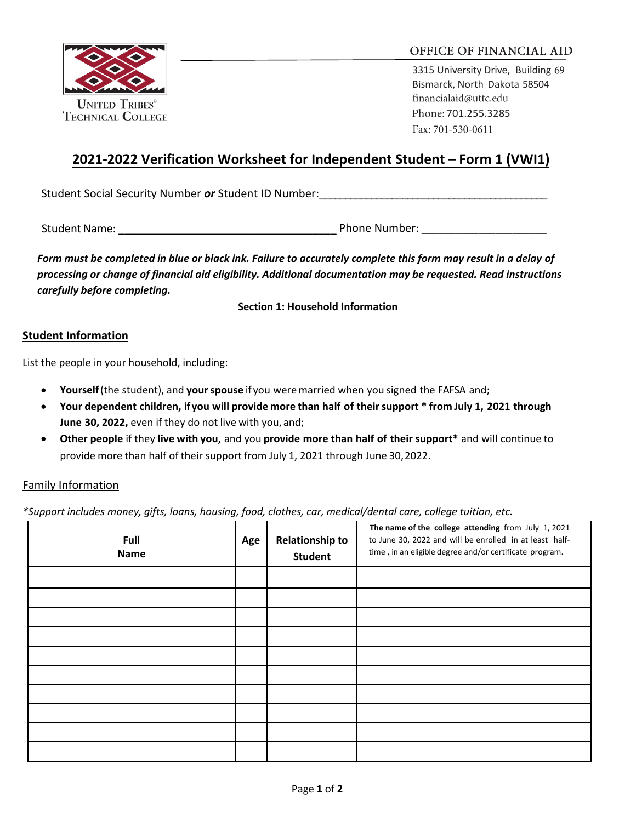

## OFFICE OF FINANCIAL AID

3315 University Drive, Building 69 Bismarck, North Dakota 58504 financialaid@uttc.edu Phone: 701.255.3285 Fax: 701-530-0611

# **2021-2022 Verification Worksheet for Independent Student – Form 1 (VWI1)**

Student Social Security Number *or* Student ID Number:

Student Name: etc. and the student Name: etc. and the Student Name: etc. and the Student Name: etc. and the Student Name of the Student Student Student Student Student Student Student Student Student Student Student Studen

*Form must be completed in blue or black ink. Failure to accurately complete this form may result in a delay of processing or change of financial aid eligibility. Additional documentation may be requested. Read instructions carefully before completing.*

**Section 1: Household Information**

#### **Student Information**

List the people in your household, including:

- **Yourself** (the student), and **your spouse** if you were married when you signed the FAFSA and;
- **Your dependent children, if you will provide more than half of their support \* from July 1, 2021 through June 30, 2022,** even if they do not live with you, and;
- **Other people** if they **live with you,** and you **provide more than half of their support\*** and will continue to provide more than half of their support from July 1, 2021 through June 30, 2022.

## Family Information

*\*Support includes money, gifts, loans, housing, food, clothes, car, medical/dental care, college tuition, etc.*

| Full<br><b>Name</b> | Age | <b>Relationship to</b><br><b>Student</b> | The name of the college attending from July 1, 2021<br>to June 30, 2022 and will be enrolled in at least half-<br>time, in an eligible degree and/or certificate program. |
|---------------------|-----|------------------------------------------|---------------------------------------------------------------------------------------------------------------------------------------------------------------------------|
|                     |     |                                          |                                                                                                                                                                           |
|                     |     |                                          |                                                                                                                                                                           |
|                     |     |                                          |                                                                                                                                                                           |
|                     |     |                                          |                                                                                                                                                                           |
|                     |     |                                          |                                                                                                                                                                           |
|                     |     |                                          |                                                                                                                                                                           |
|                     |     |                                          |                                                                                                                                                                           |
|                     |     |                                          |                                                                                                                                                                           |
|                     |     |                                          |                                                                                                                                                                           |
|                     |     |                                          |                                                                                                                                                                           |